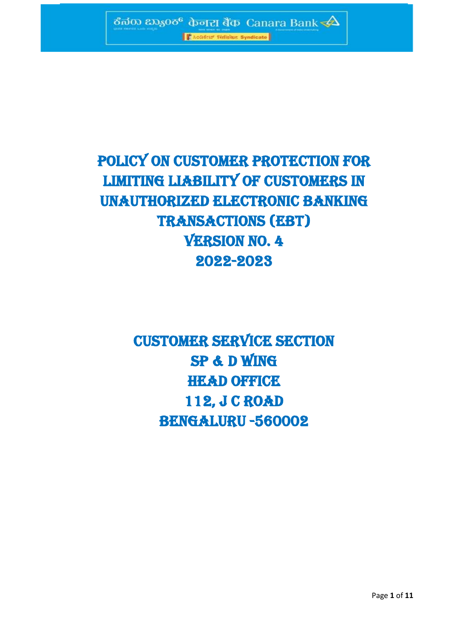

**Condition Termine Syndicate** 

# POLICY ON CUSTOMER PROTECTION FOR LIMITING LIABILITY OF CUSTOMERS IN UNAUTHORIZED ELECTRONIC BANKING **TRANSACTIONS (EBT) VERSION NO. 4** 2022-2023

# Customer service section SP & D Wing **HEAD OFFICE** 112, J C ROAD BENGALURU -560002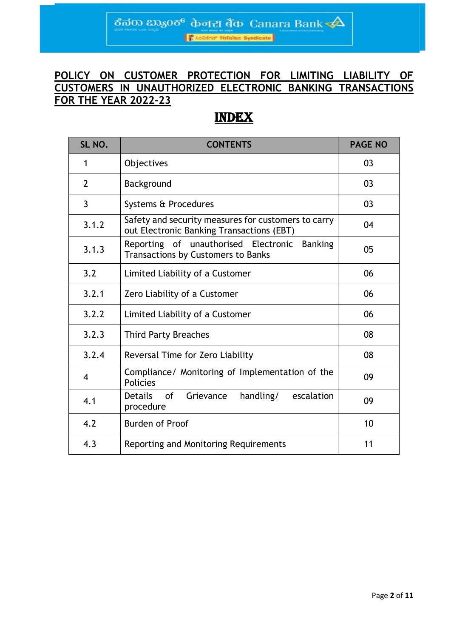ಕೆನರು ಬ್ಯಾಂಕ್ фनरा बैंक Canara Bank $\overrightarrow{ }\Delta$ **Casadeur Finleiaz Syndicate** 

# **POLICY ON CUSTOMER PROTECTION FOR LIMITING LIABILITY OF CUSTOMERS IN UNAUTHORIZED ELECTRONIC BANKING TRANSACTIONS FOR THE YEAR 2022-23**

# INDEX

| SL NO.                  | <b>CONTENTS</b>                                                                                  | <b>PAGE NO</b> |
|-------------------------|--------------------------------------------------------------------------------------------------|----------------|
| 1                       | Objectives                                                                                       | 03             |
| $\overline{2}$          | Background                                                                                       | 03             |
| 3                       | Systems & Procedures                                                                             | 03             |
| 3.1.2                   | Safety and security measures for customers to carry<br>out Electronic Banking Transactions (EBT) | 04             |
| 3.1.3                   | Reporting of unauthorised Electronic Banking<br><b>Transactions by Customers to Banks</b>        | 05             |
| 3.2                     | Limited Liability of a Customer                                                                  | 06             |
| 3.2.1                   | Zero Liability of a Customer                                                                     | 06             |
| 3.2.2                   | Limited Liability of a Customer                                                                  | 06             |
| 3.2.3                   | <b>Third Party Breaches</b>                                                                      | 08             |
| 3.2.4                   | Reversal Time for Zero Liability                                                                 | 08             |
| $\overline{\mathbf{4}}$ | Compliance/ Monitoring of Implementation of the<br><b>Policies</b>                               | 09             |
| 4.1                     | <b>Details</b><br>handling/<br>0f<br>Grievance<br>escalation<br>procedure                        | 09             |
| 4.2                     | <b>Burden of Proof</b>                                                                           | 10             |
| 4.3                     | Reporting and Monitoring Requirements                                                            | 11             |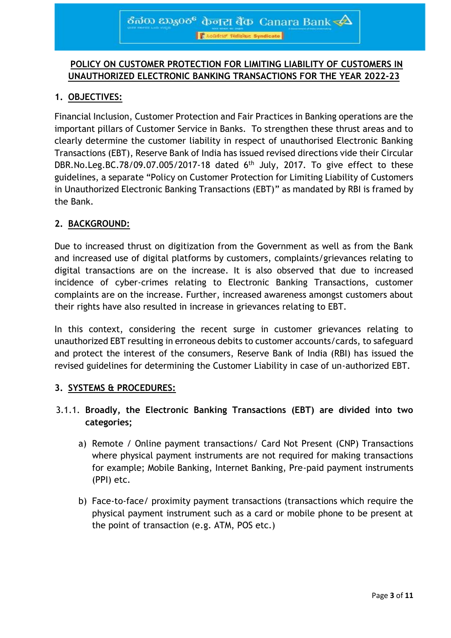# **POLICY ON CUSTOMER PROTECTION FOR LIMITING LIABILITY OF CUSTOMERS IN UNAUTHORIZED ELECTRONIC BANKING TRANSACTIONS FOR THE YEAR 2022-23**

# **1. OBJECTIVES:**

Financial Inclusion, Customer Protection and Fair Practices in Banking operations are the important pillars of Customer Service in Banks. To strengthen these thrust areas and to clearly determine the customer liability in respect of unauthorised Electronic Banking Transactions (EBT), Reserve Bank of India has issued revised directions vide their Circular DBR.No.Leg.BC.78/09.07.005/2017-18 dated  $6<sup>th</sup>$  July, 2017. To give effect to these guidelines, a separate "Policy on Customer Protection for Limiting Liability of Customers in Unauthorized Electronic Banking Transactions (EBT)" as mandated by RBI is framed by the Bank.

## **2. BACKGROUND:**

Due to increased thrust on digitization from the Government as well as from the Bank and increased use of digital platforms by customers, complaints/grievances relating to digital transactions are on the increase. It is also observed that due to increased incidence of cyber-crimes relating to Electronic Banking Transactions, customer complaints are on the increase. Further, increased awareness amongst customers about their rights have also resulted in increase in grievances relating to EBT.

In this context, considering the recent surge in customer grievances relating to unauthorized EBT resulting in erroneous debits to customer accounts/cards, to safeguard and protect the interest of the consumers, Reserve Bank of India (RBI) has issued the revised guidelines for determining the Customer Liability in case of un-authorized EBT.

### **3. SYSTEMS & PROCEDURES:**

## 3.1.1. **Broadly, the Electronic Banking Transactions (EBT) are divided into two categories;**

- a) Remote / Online payment transactions/ Card Not Present (CNP) Transactions where physical payment instruments are not required for making transactions for example; Mobile Banking, Internet Banking, Pre-paid payment instruments (PPI) etc.
- b) Face-to-face/ proximity payment transactions (transactions which require the physical payment instrument such as a card or mobile phone to be present at the point of transaction (e.g. ATM, POS etc.)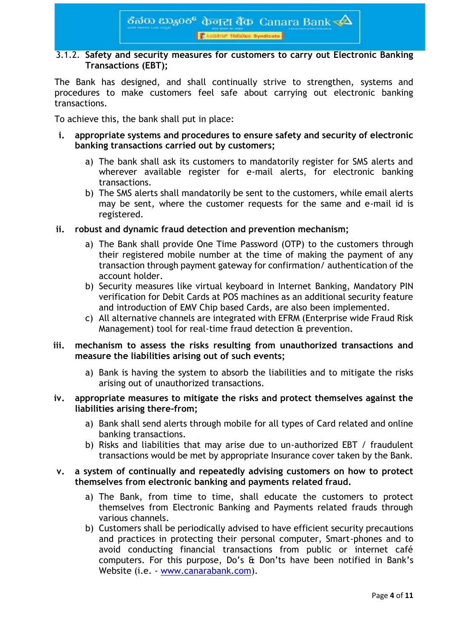#### 3.1.2. **Safety and security measures for customers to carry out Electronic Banking Transactions (EBT);**

The Bank has designed, and shall continually strive to strengthen, systems and procedures to make customers feel safe about carrying out electronic banking transactions.

To achieve this, the bank shall put in place:

- **i. appropriate systems and procedures to ensure safety and security of electronic banking transactions carried out by customers;**
	- a) The bank shall ask its customers to mandatorily register for SMS alerts and wherever available register for e-mail alerts, for electronic banking transactions.
	- b) The SMS alerts shall mandatorily be sent to the customers, while email alerts may be sent, where the customer requests for the same and e-mail id is registered.
- **ii. robust and dynamic fraud detection and prevention mechanism;**
	- a) The Bank shall provide One Time Password (OTP) to the customers through their registered mobile number at the time of making the payment of any transaction through payment gateway for confirmation/ authentication of the account holder.
	- b) Security measures like virtual keyboard in Internet Banking, Mandatory PIN verification for Debit Cards at POS machines as an additional security feature and introduction of EMV Chip based Cards, are also been implemented.
	- c) All alternative channels are integrated with EFRM (Enterprise wide Fraud Risk Management) tool for real-time fraud detection & prevention.

#### **iii. mechanism to assess the risks resulting from unauthorized transactions and measure the liabilities arising out of such events;**

a) Bank is having the system to absorb the liabilities and to mitigate the risks arising out of unauthorized transactions.

#### **iv. appropriate measures to mitigate the risks and protect themselves against the liabilities arising there-from;**

- a) Bank shall send alerts through mobile for all types of Card related and online banking transactions.
- b) Risks and liabilities that may arise due to un-authorized EBT / fraudulent transactions would be met by appropriate Insurance cover taken by the Bank.

#### **v. a system of continually and repeatedly advising customers on how to protect themselves from electronic banking and payments related fraud.**

- a) The Bank, from time to time, shall educate the customers to protect themselves from Electronic Banking and Payments related frauds through various channels.
- b) Customers shall be periodically advised to have efficient security precautions and practices in protecting their personal computer, Smart-phones and to avoid conducting financial transactions from public or internet café computers. For this purpose, Do's & Don'ts have been notified in Bank's Website (i.e. - www.canarabank.com).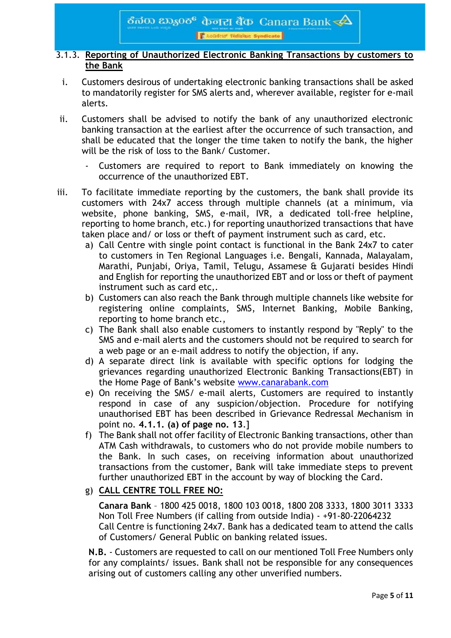#### 3.1.3. **Reporting of Unauthorized Electronic Banking Transactions by customers to the Bank**

- i. Customers desirous of undertaking electronic banking transactions shall be asked to mandatorily register for SMS alerts and, wherever available, register for e-mail alerts.
- ii. Customers shall be advised to notify the bank of any unauthorized electronic banking transaction at the earliest after the occurrence of such transaction, and shall be educated that the longer the time taken to notify the bank, the higher will be the risk of loss to the Bank/ Customer.
	- Customers are required to report to Bank immediately on knowing the occurrence of the unauthorized EBT.
- iii. To facilitate immediate reporting by the customers, the bank shall provide its customers with 24x7 access through multiple channels (at a minimum, via website, phone banking, SMS, e-mail, IVR, a dedicated toll-free helpline, reporting to home branch, etc.) for reporting unauthorized transactions that have taken place and/ or loss or theft of payment instrument such as card, etc.
	- a) Call Centre with single point contact is functional in the Bank 24x7 to cater to customers in Ten Regional Languages i.e. Bengali, Kannada, Malayalam, Marathi, Punjabi, Oriya, Tamil, Telugu, Assamese & Gujarati besides Hindi and English for reporting the unauthorized EBT and or loss or theft of payment instrument such as card etc,.
	- b) Customers can also reach the Bank through multiple channels like website for registering online complaints, SMS, Internet Banking, Mobile Banking, reporting to home branch etc.,
	- c) The Bank shall also enable customers to instantly respond by "Reply" to the SMS and e-mail alerts and the customers should not be required to search for a web page or an e-mail address to notify the objection, if any.
	- d) A separate direct link is available with specific options for lodging the grievances regarding unauthorized Electronic Banking Transactions(EBT) in the Home Page of Bank's website [www.canarabank.com](http://www.canarabank.com/)
	- e) On receiving the SMS/ e-mail alerts, Customers are required to instantly respond in case of any suspicion/objection. Procedure for notifying unauthorised EBT has been described in Grievance Redressal Mechanism in point no. **4.1.1. (a) of page no. 13**.]
	- f) The Bank shall not offer facility of Electronic Banking transactions, other than ATM Cash withdrawals, to customers who do not provide mobile numbers to the Bank. In such cases, on receiving information about unauthorized transactions from the customer, Bank will take immediate steps to prevent further unauthorized EBT in the account by way of blocking the Card.
	- g) **CALL CENTRE TOLL FREE NO:**

**Canara Bank** – 1800 425 0018, 1800 103 0018, 1800 208 3333, 1800 3011 3333 Non Toll Free Numbers (if calling from outside India) - +91-80-22064232 Call Centre is functioning 24x7. Bank has a dedicated team to attend the calls of Customers/ General Public on banking related issues.

**N.B.** - Customers are requested to call on our mentioned Toll Free Numbers only for any complaints/ issues. Bank shall not be responsible for any consequences arising out of customers calling any other unverified numbers.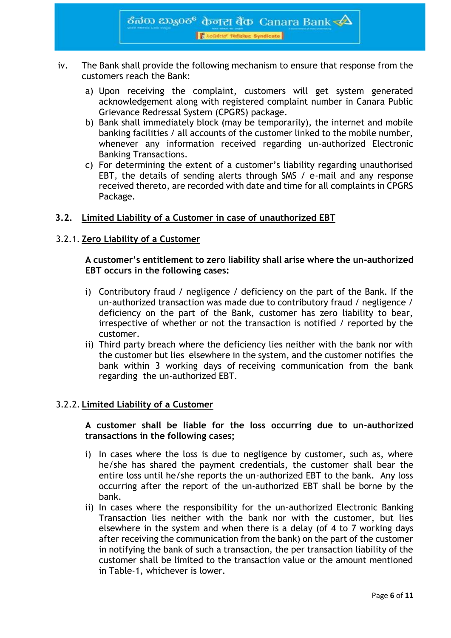

- iv. The Bank shall provide the following mechanism to ensure that response from the customers reach the Bank:
	- a) Upon receiving the complaint, customers will get system generated acknowledgement along with registered complaint number in Canara Public Grievance Redressal System (CPGRS) package.
	- b) Bank shall immediately block (may be temporarily), the internet and mobile banking facilities / all accounts of the customer linked to the mobile number, whenever any information received regarding un-authorized Electronic Banking Transactions.
	- c) For determining the extent of a customer's liability regarding unauthorised EBT, the details of sending alerts through SMS / e-mail and any response received thereto, are recorded with date and time for all complaints in CPGRS Package.

#### **3.2. Limited Liability of a Customer in case of unauthorized EBT**

#### 3.2.1. **Zero Liability of a Customer**

#### **A customer's entitlement to zero liability shall arise where the un-authorized EBT occurs in the following cases:**

- i) Contributory fraud / negligence / deficiency on the part of the Bank. If the un-authorized transaction was made due to contributory fraud / negligence / deficiency on the part of the Bank, customer has zero liability to bear, irrespective of whether or not the transaction is notified / reported by the customer.
- ii) Third party breach where the deficiency lies neither with the bank nor with the customer but lies elsewhere in the system, and the customer notifies the bank within 3 working days of receiving communication from the bank regarding the un-authorized EBT.

#### 3.2.2. **Limited Liability of a Customer**

#### **A customer shall be liable for the loss occurring due to un-authorized transactions in the following cases;**

- i) In cases where the loss is due to negligence by customer, such as, where he/she has shared the payment credentials, the customer shall bear the entire loss until he/she reports the un-authorized EBT to the bank. Any loss occurring after the report of the un-authorized EBT shall be borne by the bank.
- ii) In cases where the responsibility for the un-authorized Electronic Banking Transaction lies neither with the bank nor with the customer, but lies elsewhere in the system and when there is a delay (of 4 to 7 working days after receiving the communication from the bank) on the part of the customer in notifying the bank of such a transaction, the per transaction liability of the customer shall be limited to the transaction value or the amount mentioned in Table-1, whichever is lower.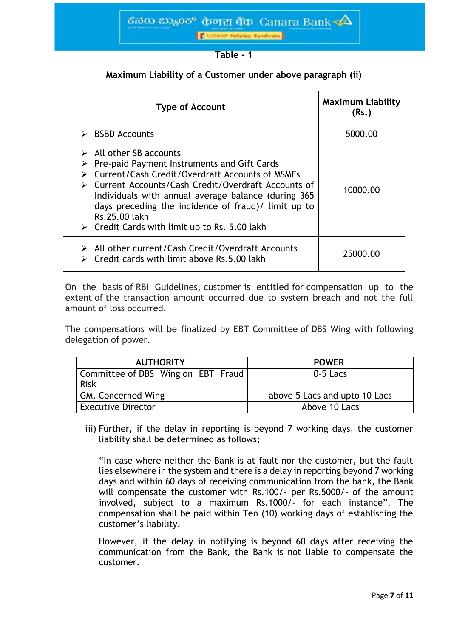

| able |  |
|------|--|
|------|--|

#### **Maximum Liability of a Customer under above paragraph (ii)**

| <b>Type of Account</b>                                                                                                                                                                                                                                                                                                                                                                                             | <b>Maximum Liability</b><br>(Rs.) |
|--------------------------------------------------------------------------------------------------------------------------------------------------------------------------------------------------------------------------------------------------------------------------------------------------------------------------------------------------------------------------------------------------------------------|-----------------------------------|
| $\triangleright$ BSBD Accounts                                                                                                                                                                                                                                                                                                                                                                                     | 5000.00                           |
| $\triangleright$ All other SB accounts<br>$\triangleright$ Pre-paid Payment Instruments and Gift Cards<br>> Current/Cash Credit/Overdraft Accounts of MSMEs<br>> Current Accounts/Cash Credit/Overdraft Accounts of<br>Individuals with annual average balance (during 365<br>days preceding the incidence of fraud)/ limit up to<br>Rs.25.00 lakh<br>$\triangleright$ Credit Cards with limit up to Rs. 5.00 lakh | 10000.00                          |
| $\triangleright$ All other current/Cash Credit/Overdraft Accounts<br>Credit cards with limit above Rs. 5.00 lakh                                                                                                                                                                                                                                                                                                   | 25000.00                          |

On the basis of RBI Guidelines, customer is entitled for compensation up to the extent of the transaction amount occurred due to system breach and not the full amount of loss occurred.

The compensations will be finalized by EBT Committee of DBS Wing with following delegation of power.

| <b>AUTHORITY</b>                                  | <b>POWER</b>                  |  |
|---------------------------------------------------|-------------------------------|--|
| Committee of DBS Wing on EBT Fraud<br><b>Risk</b> | 0-5 Lacs                      |  |
| GM, Concerned Wing                                | above 5 Lacs and upto 10 Lacs |  |
| <b>Executive Director</b>                         | Above 10 Lacs                 |  |

iii) Further, if the delay in reporting is beyond 7 working days, the customer liability shall be determined as follows;

"In case where neither the Bank is at fault nor the customer, but the fault lies elsewhere in the system and there is a delay in reporting beyond 7 working days and within 60 days of receiving communication from the bank, the Bank will compensate the customer with Rs.100/- per Rs.5000/- of the amount involved, subject to a maximum Rs.1000/- for each instance". The compensation shall be paid within Ten (10) working days of establishing the customer's liability.

However, if the delay in notifying is beyond 60 days after receiving the communication from the Bank, the Bank is not liable to compensate the customer.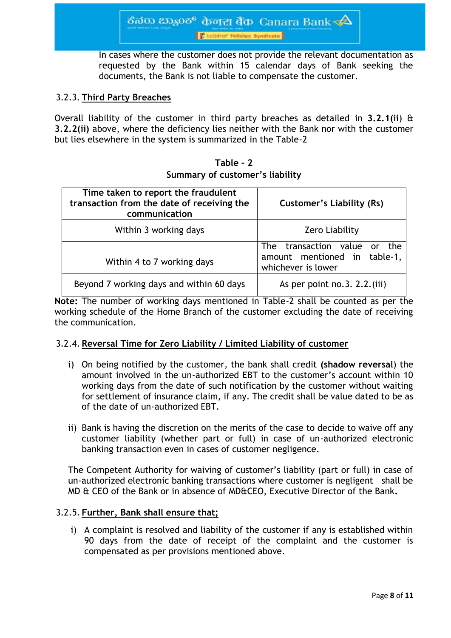In cases where the customer does not provide the relevant documentation as requested by the Bank within 15 calendar days of Bank seeking the documents, the Bank is not liable to compensate the customer.

#### 3.2.3. **Third Party Breaches**

Overall liability of the customer in third party breaches as detailed in **3.2.1(ii**) & **3.2.2(ii)** above, where the deficiency lies neither with the Bank nor with the customer but lies elsewhere in the system is summarized in the Table-2

| Table - 2 |  |                                 |  |
|-----------|--|---------------------------------|--|
|           |  | Summary of customer's liability |  |

| Time taken to report the fraudulent<br>transaction from the date of receiving the<br>communication | <b>Customer's Liability (Rs)</b>                                                   |  |
|----------------------------------------------------------------------------------------------------|------------------------------------------------------------------------------------|--|
| Within 3 working days                                                                              | Zero Liability                                                                     |  |
| Within 4 to 7 working days                                                                         | The transaction value or the<br>amount mentioned in table-1,<br>whichever is lower |  |
| Beyond 7 working days and within 60 days                                                           | As per point no. $3. 2.2$ . (iii)                                                  |  |

**Note:** The number of working days mentioned in Table-2 shall be counted as per the working schedule of the Home Branch of the customer excluding the date of receiving the communication.

#### 3.2.4. **Reversal Time for Zero Liability / Limited Liability of customer**

- i) On being notified by the customer, the bank shall credit **(shadow reversal**) the amount involved in the un-authorized EBT to the customer's account within 10 working days from the date of such notification by the customer without waiting for settlement of insurance claim, if any. The credit shall be value dated to be as of the date of un-authorized EBT.
- ii) Bank is having the discretion on the merits of the case to decide to waive off any customer liability (whether part or full) in case of un-authorized electronic banking transaction even in cases of customer negligence.

The Competent Authority for waiving of customer's liability (part or full) in case of un-authorized electronic banking transactions where customer is negligent shall be MD & CEO of the Bank or in absence of MD&CEO, Executive Director of the Bank**.**

#### 3.2.5. **Further, Bank shall ensure that;**

i) A complaint is resolved and liability of the customer if any is established within 90 days from the date of receipt of the complaint and the customer is compensated as per provisions mentioned above.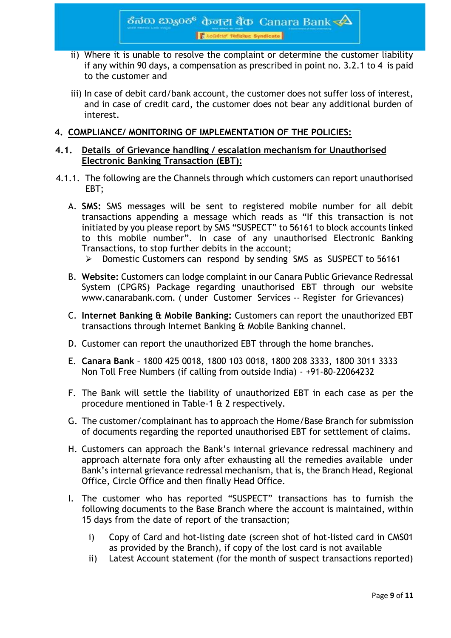ठैत $\infty$   $\infty$ ु $\infty$  केनरा बैंक-Canara Bank $<\!\!\Delta$ **Chocker Finanz Syndicate** 

- ii) Where it is unable to resolve the complaint or determine the customer liability if any within 90 days, a compensation as prescribed in point no. 3.2.1 to 4 is paid to the customer and
- iii) In case of debit card/bank account, the customer does not suffer loss of interest, and in case of credit card, the customer does not bear any additional burden of interest.

#### **4. COMPLIANCE/ MONITORING OF IMPLEMENTATION OF THE POLICIES:**

#### **4.1. Details of Grievance handling / escalation mechanism for Unauthorised Electronic Banking Transaction (EBT):**

- 4.1.1. The following are the Channels through which customers can report unauthorised EBT;
	- A. **SMS:** SMS messages will be sent to registered mobile number for all debit transactions appending a message which reads as "If this transaction is not initiated by you please report by SMS "SUSPECT" to 56161 to block accounts linked to this mobile number". In case of any unauthorised Electronic Banking Transactions, to stop further debits in the account;
		- Domestic Customers can respond by sending SMS as SUSPECT to 56161
	- B. **Website:** Customers can lodge complaint in our Canara Public Grievance Redressal System (CPGRS) Package regarding unauthorised EBT through our website www.canarabank.com. ( under Customer Services -- Register for Grievances)
	- C. **Internet Banking & Mobile Banking:** Customers can report the unauthorized EBT transactions through Internet Banking & Mobile Banking channel.
	- D. Customer can report the unauthorized EBT through the home branches.
	- E. **Canara Bank** 1800 425 0018, 1800 103 0018, 1800 208 3333, 1800 3011 3333 Non Toll Free Numbers (if calling from outside India) - +91-80-22064232
	- F. The Bank will settle the liability of unauthorized EBT in each case as per the procedure mentioned in Table-1 & 2 respectively.
	- G. The customer/complainant has to approach the Home/Base Branch for submission of documents regarding the reported unauthorised EBT for settlement of claims.
	- H. Customers can approach the Bank's internal grievance redressal machinery and approach alternate fora only after exhausting all the remedies available under Bank's internal grievance redressal mechanism, that is, the Branch Head, Regional Office, Circle Office and then finally Head Office.
	- I. The customer who has reported "SUSPECT" transactions has to furnish the following documents to the Base Branch where the account is maintained, within 15 days from the date of report of the transaction;
		- i) Copy of Card and hot-listing date (screen shot of hot-listed card in CMS01 as provided by the Branch), if copy of the lost card is not available
		- ii) Latest Account statement (for the month of suspect transactions reported)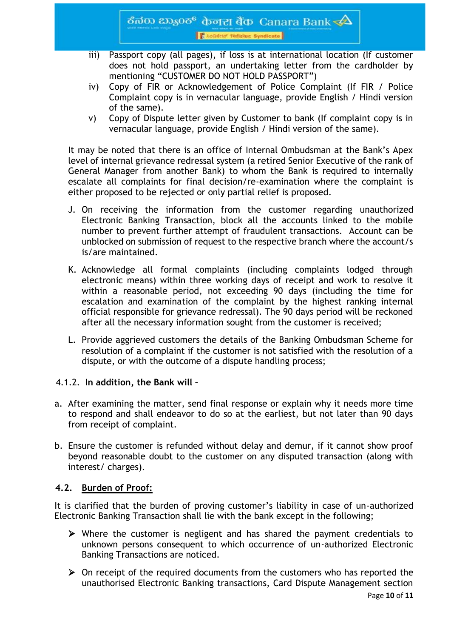- iii) Passport copy (all pages), if loss is at international location (If customer does not hold passport, an undertaking letter from the cardholder by mentioning "CUSTOMER DO NOT HOLD PASSPORT")
- iv) Copy of FIR or Acknowledgement of Police Complaint (If FIR / Police Complaint copy is in vernacular language, provide English / Hindi version of the same).
- v) Copy of Dispute letter given by Customer to bank (If complaint copy is in vernacular language, provide English / Hindi version of the same).

It may be noted that there is an office of Internal Ombudsman at the Bank's Apex level of internal grievance redressal system (a retired Senior Executive of the rank of General Manager from another Bank) to whom the Bank is required to internally escalate all complaints for final decision/re-examination where the complaint is either proposed to be rejected or only partial relief is proposed.

- J. On receiving the information from the customer regarding unauthorized Electronic Banking Transaction, block all the accounts linked to the mobile number to prevent further attempt of fraudulent transactions. Account can be unblocked on submission of request to the respective branch where the account/s is/are maintained.
- K. Acknowledge all formal complaints (including complaints lodged through electronic means) within three working days of receipt and work to resolve it within a reasonable period, not exceeding 90 days (including the time for escalation and examination of the complaint by the highest ranking internal official responsible for grievance redressal). The 90 days period will be reckoned after all the necessary information sought from the customer is received;
- L. Provide aggrieved customers the details of the Banking Ombudsman Scheme for resolution of a complaint if the customer is not satisfied with the resolution of a dispute, or with the outcome of a dispute handling process;

#### 4.1.2. **In addition, the Bank will –**

- a. After examining the matter, send final response or explain why it needs more time to respond and shall endeavor to do so at the earliest, but not later than 90 days from receipt of complaint.
- b. Ensure the customer is refunded without delay and demur, if it cannot show proof beyond reasonable doubt to the customer on any disputed transaction (along with interest/ charges).

#### **4.2. Burden of Proof:**

It is clarified that the burden of proving customer's liability in case of un-authorized Electronic Banking Transaction shall lie with the bank except in the following;

- Where the customer is negligent and has shared the payment credentials to unknown persons consequent to which occurrence of un-authorized Electronic Banking Transactions are noticed.
- $\triangleright$  On receipt of the required documents from the customers who has reported the unauthorised Electronic Banking transactions, Card Dispute Management section